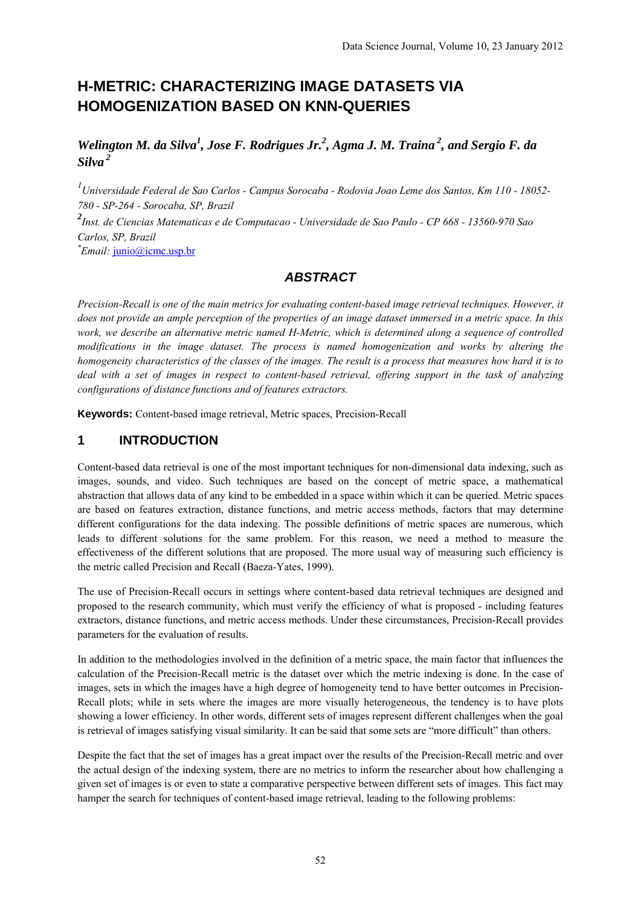# **H-METRIC: CHARACTERIZING IMAGE DATASETS VIA HOMOGENIZATION BASED ON KNN-QUERIES**

Welington M. da Silva<sup>1</sup>, Jose F. Rodrigues Jr.<sup>2</sup>, Agma J. M. Traina<sup>2</sup>, and Sergio F. da *Silva 2* 

*1 Universidade Federal de Sao Carlos - Campus Sorocaba - Rodovia Joao Leme dos Santos, Km 110 - 18052- 780 - SP-264 - Sorocaba, SP, Brazil 2 Inst. de Ciencias Matematicas e de Computacao - Universidade de Sao Paulo - CP 668 - 13560-970 Sao Carlos, SP, Brazil* 

*\* Email:* junio@icmc.usp.br

# *ABSTRACT*

*Precision-Recall is one of the main metrics for evaluating content-based image retrieval techniques. However, it does not provide an ample perception of the properties of an image dataset immersed in a metric space. In this work, we describe an alternative metric named H-Metric, which is determined along a sequence of controlled modifications in the image dataset. The process is named homogenization and works by altering the homogeneity characteristics of the classes of the images. The result is a process that measures how hard it is to deal with a set of images in respect to content-based retrieval, offering support in the task of analyzing configurations of distance functions and of features extractors.* 

**Keywords:** Content-based image retrieval, Metric spaces, Precision-Recall

# **1 INTRODUCTION**

Content-based data retrieval is one of the most important techniques for non-dimensional data indexing, such as images, sounds, and video. Such techniques are based on the concept of metric space, a mathematical abstraction that allows data of any kind to be embedded in a space within which it can be queried. Metric spaces are based on features extraction, distance functions, and metric access methods, factors that may determine different configurations for the data indexing. The possible definitions of metric spaces are numerous, which leads to different solutions for the same problem. For this reason, we need a method to measure the effectiveness of the different solutions that are proposed. The more usual way of measuring such efficiency is the metric called Precision and Recall (Baeza-Yates, 1999).

The use of Precision-Recall occurs in settings where content-based data retrieval techniques are designed and proposed to the research community, which must verify the efficiency of what is proposed - including features extractors, distance functions, and metric access methods. Under these circumstances, Precision-Recall provides parameters for the evaluation of results.

In addition to the methodologies involved in the definition of a metric space, the main factor that influences the calculation of the Precision-Recall metric is the dataset over which the metric indexing is done. In the case of images, sets in which the images have a high degree of homogeneity tend to have better outcomes in Precision-Recall plots; while in sets where the images are more visually heterogeneous, the tendency is to have plots showing a lower efficiency. In other words, different sets of images represent different challenges when the goal is retrieval of images satisfying visual similarity. It can be said that some sets are "more difficult" than others.

Despite the fact that the set of images has a great impact over the results of the Precision-Recall metric and over the actual design of the indexing system, there are no metrics to inform the researcher about how challenging a given set of images is or even to state a comparative perspective between different sets of images. This fact may hamper the search for techniques of content-based image retrieval, leading to the following problems: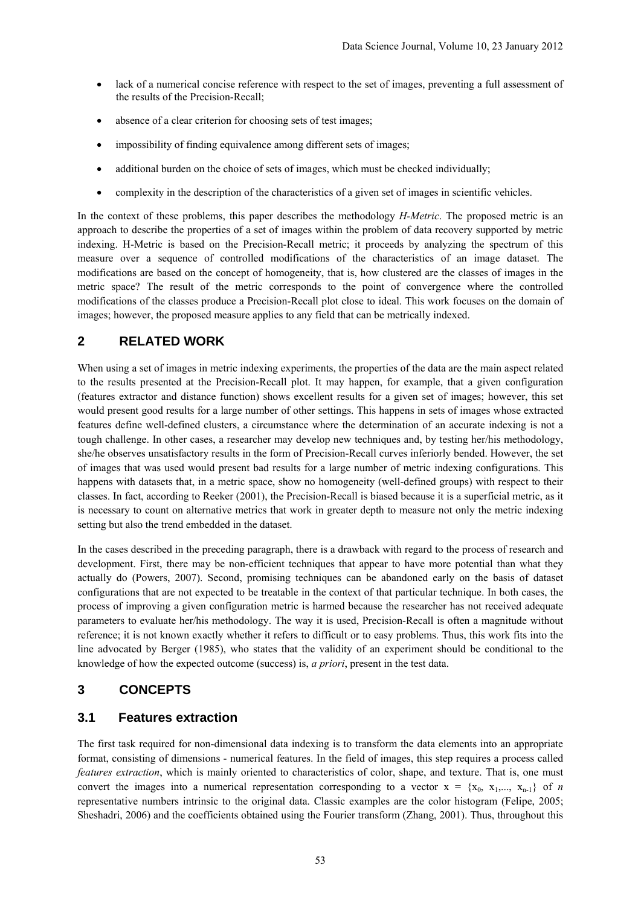- lack of a numerical concise reference with respect to the set of images, preventing a full assessment of the results of the Precision-Recall;
- absence of a clear criterion for choosing sets of test images;
- impossibility of finding equivalence among different sets of images;
- additional burden on the choice of sets of images, which must be checked individually;
- complexity in the description of the characteristics of a given set of images in scientific vehicles.

In the context of these problems, this paper describes the methodology *H-Metric*. The proposed metric is an approach to describe the properties of a set of images within the problem of data recovery supported by metric indexing. H-Metric is based on the Precision-Recall metric; it proceeds by analyzing the spectrum of this measure over a sequence of controlled modifications of the characteristics of an image dataset. The modifications are based on the concept of homogeneity, that is, how clustered are the classes of images in the metric space? The result of the metric corresponds to the point of convergence where the controlled modifications of the classes produce a Precision-Recall plot close to ideal. This work focuses on the domain of images; however, the proposed measure applies to any field that can be metrically indexed.

## **2 RELATED WORK**

When using a set of images in metric indexing experiments, the properties of the data are the main aspect related to the results presented at the Precision-Recall plot. It may happen, for example, that a given configuration (features extractor and distance function) shows excellent results for a given set of images; however, this set would present good results for a large number of other settings. This happens in sets of images whose extracted features define well-defined clusters, a circumstance where the determination of an accurate indexing is not a tough challenge. In other cases, a researcher may develop new techniques and, by testing her/his methodology, she/he observes unsatisfactory results in the form of Precision-Recall curves inferiorly bended. However, the set of images that was used would present bad results for a large number of metric indexing configurations. This happens with datasets that, in a metric space, show no homogeneity (well-defined groups) with respect to their classes. In fact, according to Reeker (2001), the Precision-Recall is biased because it is a superficial metric, as it is necessary to count on alternative metrics that work in greater depth to measure not only the metric indexing setting but also the trend embedded in the dataset.

In the cases described in the preceding paragraph, there is a drawback with regard to the process of research and development. First, there may be non-efficient techniques that appear to have more potential than what they actually do (Powers, 2007). Second, promising techniques can be abandoned early on the basis of dataset configurations that are not expected to be treatable in the context of that particular technique. In both cases, the process of improving a given configuration metric is harmed because the researcher has not received adequate parameters to evaluate her/his methodology. The way it is used, Precision-Recall is often a magnitude without reference; it is not known exactly whether it refers to difficult or to easy problems. Thus, this work fits into the line advocated by Berger (1985), who states that the validity of an experiment should be conditional to the knowledge of how the expected outcome (success) is, *a priori*, present in the test data.

#### **3 CONCEPTS**

#### **3.1 Features extraction**

The first task required for non-dimensional data indexing is to transform the data elements into an appropriate format, consisting of dimensions - numerical features. In the field of images, this step requires a process called *features extraction*, which is mainly oriented to characteristics of color, shape, and texture. That is, one must convert the images into a numerical representation corresponding to a vector  $x = \{x_0, x_1, ..., x_{n-1}\}\$  of *n* representative numbers intrinsic to the original data. Classic examples are the color histogram (Felipe, 2005; Sheshadri, 2006) and the coefficients obtained using the Fourier transform (Zhang, 2001). Thus, throughout this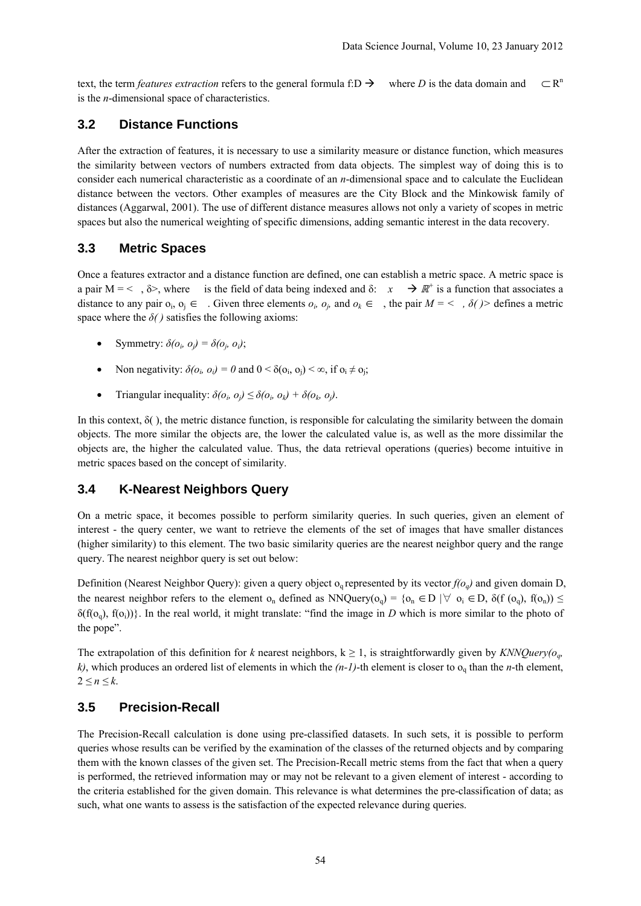text, the term *features extraction* refers to the general formula f:D  $\rightarrow$  where *D* is the data domain and  $\subset \mathbb{R}^n$ is the *n*-dimensional space of characteristics.

#### **3.2 Distance Functions**

After the extraction of features, it is necessary to use a similarity measure or distance function, which measures the similarity between vectors of numbers extracted from data objects. The simplest way of doing this is to consider each numerical characteristic as a coordinate of an *n*-dimensional space and to calculate the Euclidean distance between the vectors. Other examples of measures are the City Block and the Minkowisk family of distances (Aggarwal, 2001). The use of different distance measures allows not only a variety of scopes in metric spaces but also the numerical weighting of specific dimensions, adding semantic interest in the data recovery.

#### **3.3 Metric Spaces**

Once a features extractor and a distance function are defined, one can establish a metric space. A metric space is a pair M = < ,  $\delta$ >, where is the field of data being indexed and  $\delta$ :  $x \to \mathbb{R}^+$  is a function that associates a distance to any pair  $o_i$ ,  $o_j \in \dots$  Given three elements  $o_i$ ,  $o_j$ , and  $o_k \in \dots$ , the pair  $M = \langle \dots, \delta \rangle$  defines a metric space where the  $\delta$ *()* satisfies the following axioms:

- Symmetry:  $\delta(o_i, o_j) = \delta(o_i, o_j)$ ;
- Non negativity:  $\delta(o_i, o_j) = 0$  and  $0 < \delta(o_i, o_j) < \infty$ , if  $o_i \neq o_j$ ;
- Triangular inequality:  $\delta(o_i, o_j) \leq \delta(o_i, o_k) + \delta(o_k, o_j)$ .

In this context,  $\delta$ (), the metric distance function, is responsible for calculating the similarity between the domain objects. The more similar the objects are, the lower the calculated value is, as well as the more dissimilar the objects are, the higher the calculated value. Thus, the data retrieval operations (queries) become intuitive in metric spaces based on the concept of similarity.

### **3.4 K-Nearest Neighbors Query**

On a metric space, it becomes possible to perform similarity queries. In such queries, given an element of interest - the query center, we want to retrieve the elements of the set of images that have smaller distances (higher similarity) to this element. The two basic similarity queries are the nearest neighbor query and the range query. The nearest neighbor query is set out below:

Definition (Nearest Neighbor Query): given a query object  $o_q$  represented by its vector  $f(o_q)$  and given domain D, the nearest neighbor refers to the element o<sub>n</sub> defined as NNQuery( $o_q$ ) = { $o_n \in D$  | $\forall o_i \in D$ ,  $\delta(f(o_q), f(o_n)) \le$  $\delta(f(o_0), f(o_i))$ . In the real world, it might translate: "find the image in *D* which is more similar to the photo of the pope".

The extrapolation of this definition for *k* nearest neighbors,  $k \ge 1$ , is straightforwardly given by *KNNQuery(o<sub>g</sub>*,  $k$ ), which produces an ordered list of elements in which the  $(n-1)$ -th element is closer to  $o_q$  than the *n*-th element,  $2 \leq n \leq k$ .

#### **3.5 Precision-Recall**

The Precision-Recall calculation is done using pre-classified datasets. In such sets, it is possible to perform queries whose results can be verified by the examination of the classes of the returned objects and by comparing them with the known classes of the given set. The Precision-Recall metric stems from the fact that when a query is performed, the retrieved information may or may not be relevant to a given element of interest - according to the criteria established for the given domain. This relevance is what determines the pre-classification of data; as such, what one wants to assess is the satisfaction of the expected relevance during queries.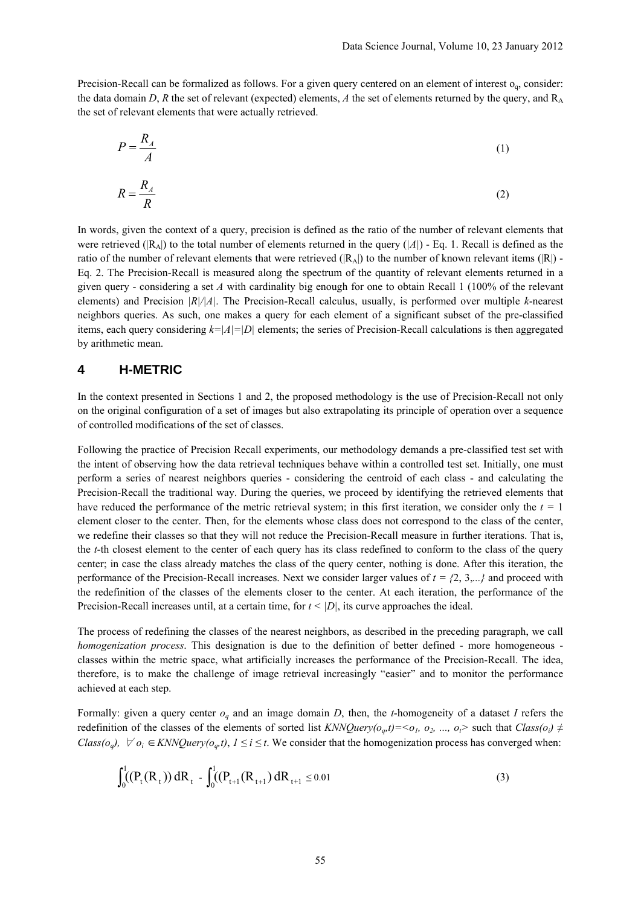Precision-Recall can be formalized as follows. For a given query centered on an element of interest  $o_q$ , consider: the data domain  $D$ ,  $R$  the set of relevant (expected) elements,  $A$  the set of elements returned by the query, and  $R_A$ the set of relevant elements that were actually retrieved.

$$
P = \frac{R_A}{A} \tag{1}
$$

$$
R = \frac{R_A}{R} \tag{2}
$$

In words, given the context of a query, precision is defined as the ratio of the number of relevant elements that were retrieved ( $|R_A|$ ) to the total number of elements returned in the query ( $|A|$ ) - Eq. 1. Recall is defined as the ratio of the number of relevant elements that were retrieved  $(|R_A|)$  to the number of known relevant items  $(|R|)$  -Eq. 2. The Precision-Recall is measured along the spectrum of the quantity of relevant elements returned in a given query - considering a set *A* with cardinality big enough for one to obtain Recall 1 (100% of the relevant elements) and Precision *|R|/|A|*. The Precision-Recall calculus, usually, is performed over multiple *k*-nearest neighbors queries. As such, one makes a query for each element of a significant subset of the pre-classified items, each query considering *k=|A|=|D|* elements; the series of Precision-Recall calculations is then aggregated by arithmetic mean.

#### **4 H-METRIC**

In the context presented in Sections 1 and 2, the proposed methodology is the use of Precision-Recall not only on the original configuration of a set of images but also extrapolating its principle of operation over a sequence of controlled modifications of the set of classes.

Following the practice of Precision Recall experiments, our methodology demands a pre-classified test set with the intent of observing how the data retrieval techniques behave within a controlled test set. Initially, one must perform a series of nearest neighbors queries - considering the centroid of each class - and calculating the Precision-Recall the traditional way. During the queries, we proceed by identifying the retrieved elements that have reduced the performance of the metric retrieval system; in this first iteration, we consider only the *t =* 1 element closer to the center. Then, for the elements whose class does not correspond to the class of the center, we redefine their classes so that they will not reduce the Precision-Recall measure in further iterations. That is, the *t*-th closest element to the center of each query has its class redefined to conform to the class of the query center; in case the class already matches the class of the query center, nothing is done. After this iteration, the performance of the Precision-Recall increases. Next we consider larger values of  $t = \{2, 3, \ldots\}$  and proceed with the redefinition of the classes of the elements closer to the center. At each iteration, the performance of the Precision-Recall increases until, at a certain time, for *t < |D|*, its curve approaches the ideal.

The process of redefining the classes of the nearest neighbors, as described in the preceding paragraph, we call *homogenization process*. This designation is due to the definition of better defined - more homogeneous classes within the metric space, what artificially increases the performance of the Precision-Recall. The idea, therefore, is to make the challenge of image retrieval increasingly "easier" and to monitor the performance achieved at each step.

Formally: given a query center *oq* and an image domain *D*, then, the *t*-homogeneity of a dataset *I* refers the redefinition of the classes of the elements of sorted list  $KNNQuery(o_a,t)=$  such that  $Class(o_i) \neq$ *Class(o<sub>a</sub>),*  $\forall o_i \in KNNQuery(o_a,t), 1 \leq i \leq t$ . We consider that the homogenization process has converged when:

$$
\int_0^1 (P_t(R_t)) \, dR_t - \int_0^1 (P_{t+1}(R_{t+1}) \, dR_{t+1} \le 0.01) \tag{3}
$$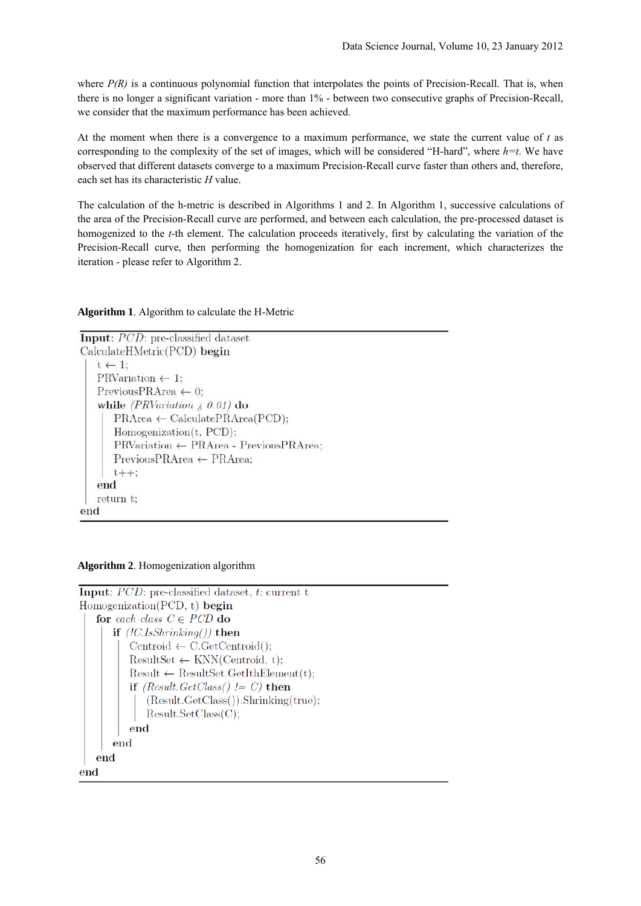where  $P(R)$  is a continuous polynomial function that interpolates the points of Precision-Recall. That is, when there is no longer a significant variation - more than 1% - between two consecutive graphs of Precision-Recall, we consider that the maximum performance has been achieved.

At the moment when there is a convergence to a maximum performance, we state the current value of *t* as corresponding to the complexity of the set of images, which will be considered "H-hard", where *h=t*. We have observed that different datasets converge to a maximum Precision-Recall curve faster than others and, therefore, each set has its characteristic *H* value.

The calculation of the h-metric is described in Algorithms 1 and 2. In Algorithm 1, successive calculations of the area of the Precision-Recall curve are performed, and between each calculation, the pre-processed dataset is homogenized to the *t*-th element. The calculation proceeds iteratively, first by calculating the variation of the Precision-Recall curve, then performing the homogenization for each increment, which characterizes the iteration - please refer to Algorithm 2.

**Algorithm 1**. Algorithm to calculate the H-Metric

```
Input: PCD: pre-classified dataset
CalculateHMetric(PCD) begin
   t \leftarrow 1:
   PRVariation \leftarrow 1:
   PreviousPRArea \leftarrow 0;
   while (PRVariation \lambda 0.01) do
       PRArea \leftarrow CalculatePRArea(PCD);Homogenization(t, PCD):
       PRVariation ← PRArea - PreviousPRArea;
       PreviousPRArea \leftarrow PRArea;
       t++end
   return t;
end
```
**Algorithm 2**. Homogenization algorithm

```
Input: PCD: pre-classified dataset, t: current t
Homogenization(PCD, t) begin
   for each class C \in PCD do
       if (.l.s.shrinking()) then
          Centroid \leftarrow C.GetCentroid():
          ResultSet \leftarrow KNN(Centroid, t);Result \leftarrow ResultSet.GetIthElement(t);if (Result. GetClass() != C) then
              (Result.CetClass()). Shrinking(true);
              Result.setClass(C);end
       end
   end
end
```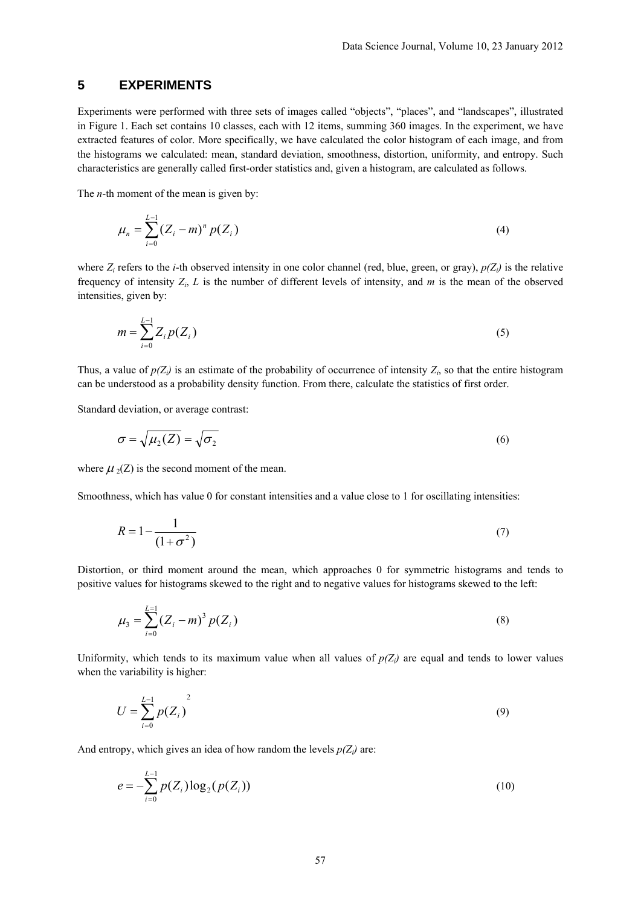## **5 EXPERIMENTS**

Experiments were performed with three sets of images called "objects", "places", and "landscapes", illustrated in Figure 1. Each set contains 10 classes, each with 12 items, summing 360 images. In the experiment, we have extracted features of color. More specifically, we have calculated the color histogram of each image, and from the histograms we calculated: mean, standard deviation, smoothness, distortion, uniformity, and entropy. Such characteristics are generally called first-order statistics and, given a histogram, are calculated as follows.

The *n*-th moment of the mean is given by:

$$
\mu_n = \sum_{i=0}^{L-1} (Z_i - m)^n p(Z_i)
$$
\n(4)

where  $Z_i$  refers to the *i*-th observed intensity in one color channel (red, blue, green, or gray),  $p(Z_i)$  is the relative frequency of intensity *Zi*, *L* is the number of different levels of intensity, and *m* is the mean of the observed intensities, given by:

$$
m = \sum_{i=0}^{L-1} Z_i p(Z_i)
$$
 (5)

Thus, a value of  $p(Z_i)$  is an estimate of the probability of occurrence of intensity  $Z_i$ , so that the entire histogram can be understood as a probability density function. From there, calculate the statistics of first order.

Standard deviation, or average contrast:

$$
\sigma = \sqrt{\mu_2(Z)} = \sqrt{\sigma_2} \tag{6}
$$

where  $\mu_2(Z)$  is the second moment of the mean.

Smoothness, which has value 0 for constant intensities and a value close to 1 for oscillating intensities:

$$
R = 1 - \frac{1}{\left(1 + \sigma^2\right)}\tag{7}
$$

Distortion, or third moment around the mean, which approaches 0 for symmetric histograms and tends to positive values for histograms skewed to the right and to negative values for histograms skewed to the left:

$$
\mu_3 = \sum_{i=0}^{L=1} (Z_i - m)^3 p(Z_i)
$$
\n(8)

Uniformity, which tends to its maximum value when all values of  $p(Z_i)$  are equal and tends to lower values when the variability is higher:

$$
U = \sum_{i=0}^{L-1} p(Z_i)
$$
 (9)

And entropy, which gives an idea of how random the levels  $p(Z_i)$  are:

$$
e = -\sum_{i=0}^{L-1} p(Z_i) \log_2(p(Z_i))
$$
\n(10)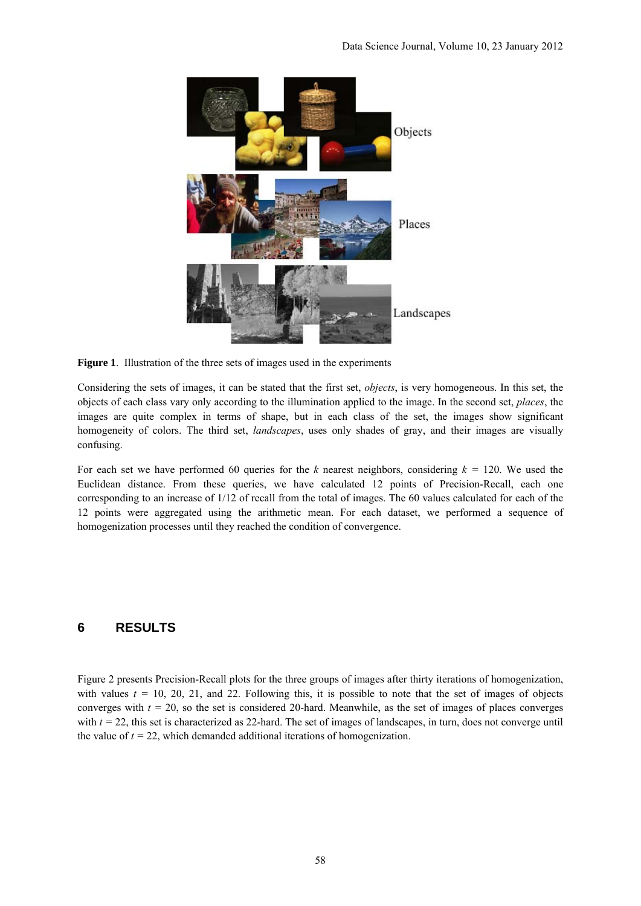

**Figure 1**. Illustration of the three sets of images used in the experiments

Considering the sets of images, it can be stated that the first set, *objects*, is very homogeneous. In this set, the objects of each class vary only according to the illumination applied to the image. In the second set, *places*, the images are quite complex in terms of shape, but in each class of the set, the images show significant homogeneity of colors. The third set, *landscapes*, uses only shades of gray, and their images are visually confusing.

For each set we have performed 60 queries for the *k* nearest neighbors, considering *k =* 120. We used the Euclidean distance. From these queries, we have calculated 12 points of Precision-Recall, each one corresponding to an increase of 1/12 of recall from the total of images. The 60 values calculated for each of the 12 points were aggregated using the arithmetic mean. For each dataset, we performed a sequence of homogenization processes until they reached the condition of convergence.

# **6 RESULTS**

Figure 2 presents Precision-Recall plots for the three groups of images after thirty iterations of homogenization, with values  $t = 10, 20, 21,$  and 22. Following this, it is possible to note that the set of images of objects converges with  $t = 20$ , so the set is considered 20-hard. Meanwhile, as the set of images of places converges with  $t = 22$ , this set is characterized as 22-hard. The set of images of landscapes, in turn, does not converge until the value of  $t = 22$ , which demanded additional iterations of homogenization.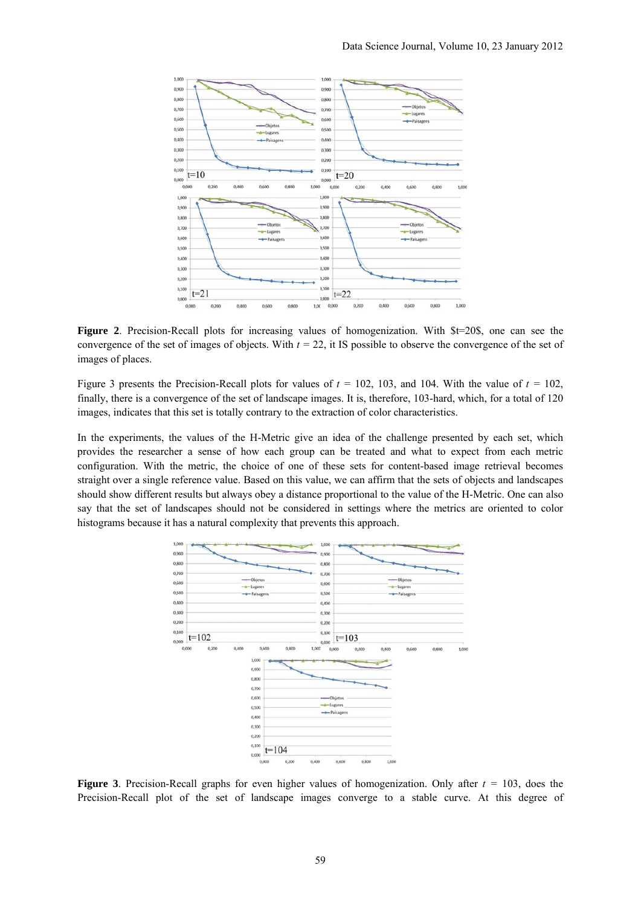

**Figure 2**. Precision-Recall plots for increasing values of homogenization. With  $$t=20\$ <sub>5</sub>, one can see the convergence of the set of images of objects. With  $t = 22$ , it IS possible to observe the convergence of the set of images of places.

Figure 3 presents the Precision-Recall plots for values of  $t = 102$ , 103, and 104. With the value of  $t = 102$ , finally, there is a convergence of the set of landscape images. It is, therefore, 103-hard, which, for a total of 120 images, indicates that this set is totally contrary to the extraction of color characteristics.

In the experiments, the values of the H-Metric give an idea of the challenge presented by each set, which provides the researcher a sense of how each group can be treated and what to expect from each metric configuration. With the metric, the choice of one of these sets for content-based image retrieval becomes straight over a single reference value. Based on this value, we can affirm that the sets of objects and landscapes should show different results but always obey a distance proportional to the value of the H-Metric. One can also say that the set of landscapes should not be considered in settings where the metrics are oriented to color histograms because it has a natural complexity that prevents this approach.



**Figure 3**. Precision-Recall graphs for even higher values of homogenization. Only after *t =* 103, does the Precision-Recall plot of the set of landscape images converge to a stable curve. At this degree of